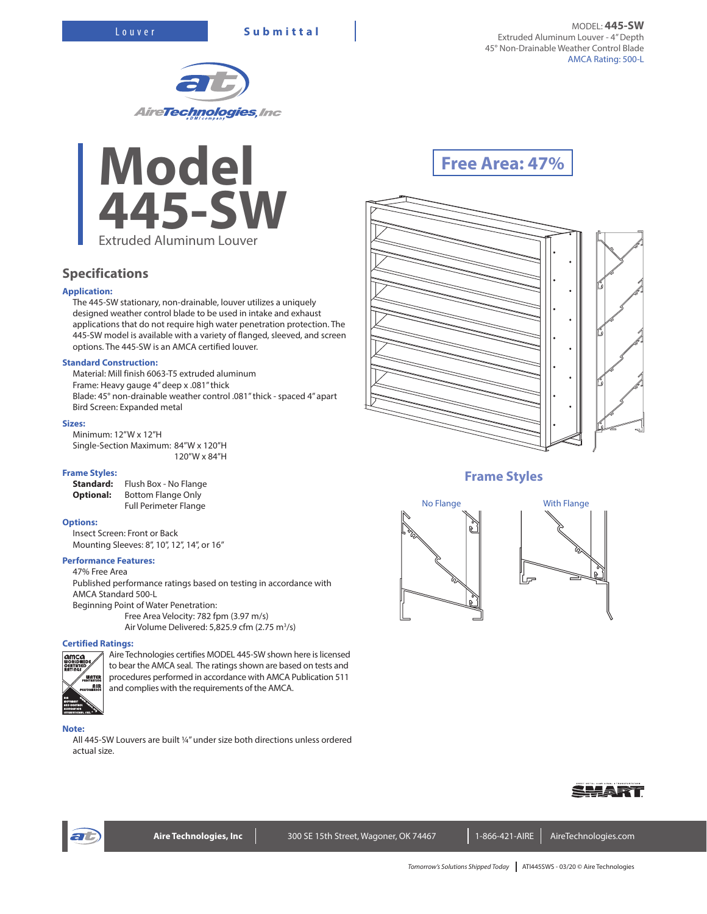



# **Specifications**

## **Application:**

The 445-SW stationary, non-drainable, louver utilizes a uniquely designed weather control blade to be used in intake and exhaust applications that do not require high water penetration protection. The 445-SW model is available with a variety of flanged, sleeved, and screen options. The 445-SW is an AMCA certified louver.

## **Standard Construction:**

Material: Mill finish 6063-T5 extruded aluminum Frame: Heavy gauge 4" deep x .081" thick Blade: 45° non-drainable weather control .081" thick - spaced 4" apart Bird Screen: Expanded metal

## **Sizes:**

Minimum: 12"W x 12"H Single-Section Maximum: 84"W x 120"H 120"W x 84"H

#### **Frame Styles:**

**Standard:** Flush Box - No Flange **Optional:** Bottom Flange Only Full Perimeter Flange

## **Options:**

Insect Screen: Front or Back Mounting Sleeves: 8", 10", 12", 14", or 16"

## **Performance Features:**

47% Free Area Published performance ratings based on testing in accordance with AMCA Standard 500-L Beginning Point of Water Penetration: Free Area Velocity: 782 fpm (3.97 m/s)

Air Volume Delivered: 5,825.9 cfm (2.75 m<sup>3</sup>/s)

## **Certified Ratings:**



Aire Technologies certifies MODEL 445-SW shown here is licensed to bear the AMCA seal. The ratings shown are based on tests and procedures performed in accordance with AMCA Publication 511 and complies with the requirements of the AMCA.

#### **Note:**

All 445-SW Louvers are built ¼" under size both directions unless ordered actual size.

# **Free Area: 47%**



## **Frame Styles**









Aire Technologies, Inc **Neta 300 SE 15th Street, Wagoner, OK 74467** 1-866-421-AIRE AireTechnologies.com